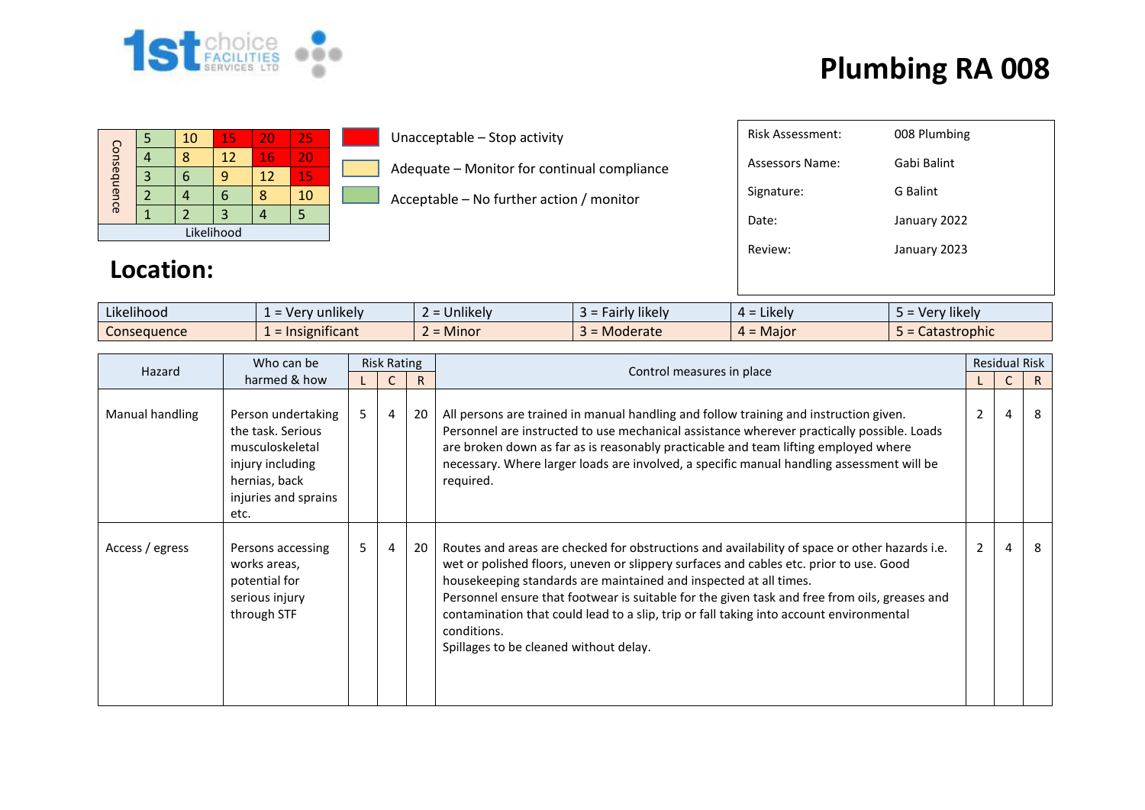

|             |  | 10 | 15 | 20 | 25  |  |  |  |  |
|-------------|--|----|----|----|-----|--|--|--|--|
| Consequence |  |    | 12 | 16 | VI. |  |  |  |  |
|             |  |    |    | 12 | 15  |  |  |  |  |
|             |  |    |    |    | 10  |  |  |  |  |
|             |  |    |    |    |     |  |  |  |  |
| Likelihood  |  |    |    |    |     |  |  |  |  |

Unacceptable – Stop activity

Adequate – Monitor for continual compliance

Acceptable – No further action / monitor

| Risk Assessment: | 008 Plumbing |
|------------------|--------------|
| Assessors Name:  | Gabi Balint  |
| Signature:       | G Balint     |
| Date:            | January 2022 |
| Review:          | January 2023 |
|                  |              |
|                  |              |

#### **Location:**

| $\cdots$<br>$\cdots$<br>Likelihood | $\blacksquare$<br>unlikelv<br>$\overline{10}$<br>$\sim$<br>$\overline{\phantom{0}}$<br>$\mathbf{v}$ | $\cdots$<br>∽<br><b>Jnlikely</b> | <i>F</i> airly likely<br>-- | .<br>$\overline{\phantom{a}}$ Likely $\overline{\phantom{a}}$<br>$\mu$ - | $\cdots$<br><b>'likely</b><br>ver |
|------------------------------------|-----------------------------------------------------------------------------------------------------|----------------------------------|-----------------------------|--------------------------------------------------------------------------|-----------------------------------|
| Consequence                        | .<br>nsignificant<br>$=$ Ir                                                                         | -<br><b>Minor</b>                | Moderate                    | . Maior<br>. .                                                           | <b>tastrophic</b><br>calasli      |

| Who can be<br>Hazard | <b>Risk Rating</b>                                                                                                              |       |   |    |                                                                                                                                                                                                                                                                                                                                                                                                                                                                                                                   | <b>Residual Risk</b> |                |   |
|----------------------|---------------------------------------------------------------------------------------------------------------------------------|-------|---|----|-------------------------------------------------------------------------------------------------------------------------------------------------------------------------------------------------------------------------------------------------------------------------------------------------------------------------------------------------------------------------------------------------------------------------------------------------------------------------------------------------------------------|----------------------|----------------|---|
|                      | harmed & how                                                                                                                    |       |   | R  | Control measures in place                                                                                                                                                                                                                                                                                                                                                                                                                                                                                         |                      |                | R |
| Manual handling      | Person undertaking<br>the task. Serious<br>musculoskeletal<br>injury including<br>hernias, back<br>injuries and sprains<br>etc. | $5 -$ | 4 | 20 | All persons are trained in manual handling and follow training and instruction given.<br>Personnel are instructed to use mechanical assistance wherever practically possible. Loads<br>are broken down as far as is reasonably practicable and team lifting employed where<br>necessary. Where larger loads are involved, a specific manual handling assessment will be<br>required.                                                                                                                              | $\mathcal{P}$        | $\overline{a}$ | 8 |
| Access / egress      | Persons accessing<br>works areas,<br>potential for<br>serious injury<br>through STF                                             | 5     | 4 | 20 | Routes and areas are checked for obstructions and availability of space or other hazards i.e.<br>wet or polished floors, uneven or slippery surfaces and cables etc. prior to use. Good<br>housekeeping standards are maintained and inspected at all times.<br>Personnel ensure that footwear is suitable for the given task and free from oils, greases and<br>contamination that could lead to a slip, trip or fall taking into account environmental<br>conditions.<br>Spillages to be cleaned without delay. | 2                    | 4              | 8 |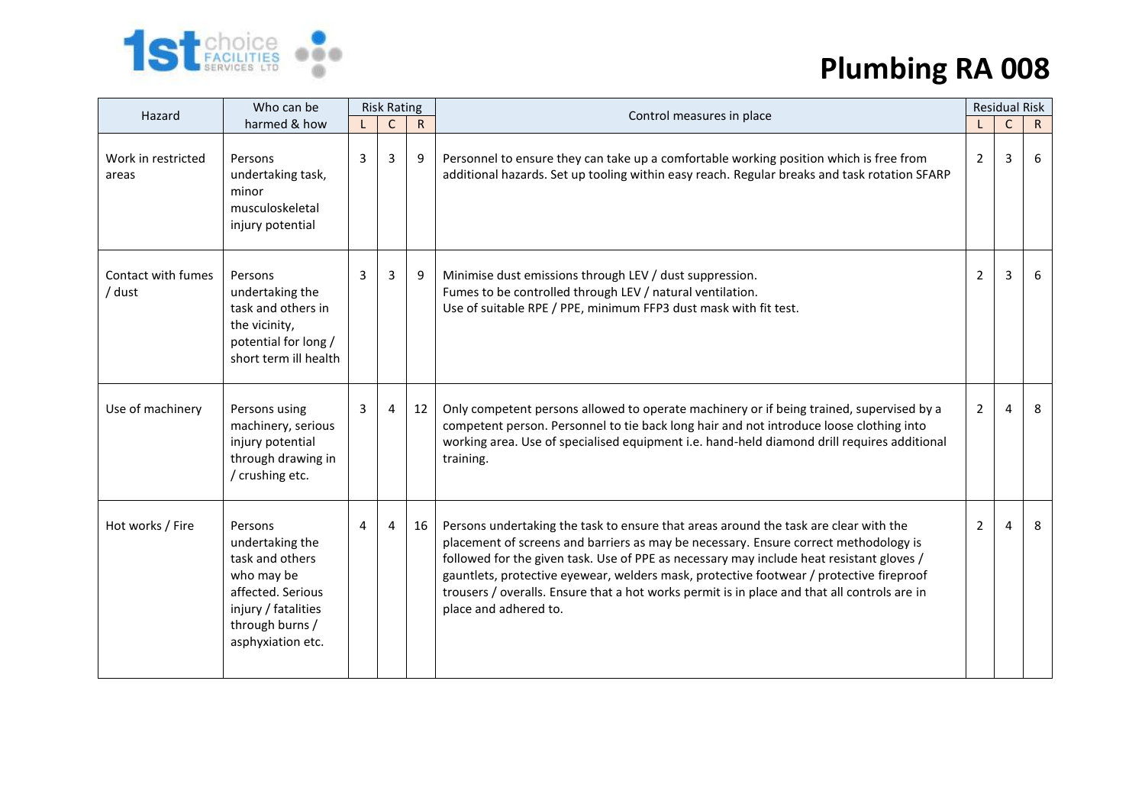

| Hazard                       | Who can be                                                                                                                                      | <b>Risk Rating</b> |              |              | Control measures in place                                                                                                                                                                                                                                                                                                                                                                                                                                                                    | <b>Residual Risk</b> |              |              |
|------------------------------|-------------------------------------------------------------------------------------------------------------------------------------------------|--------------------|--------------|--------------|----------------------------------------------------------------------------------------------------------------------------------------------------------------------------------------------------------------------------------------------------------------------------------------------------------------------------------------------------------------------------------------------------------------------------------------------------------------------------------------------|----------------------|--------------|--------------|
|                              | harmed & how                                                                                                                                    |                    | $\mathsf{C}$ | $\mathsf{R}$ |                                                                                                                                                                                                                                                                                                                                                                                                                                                                                              |                      | $\mathsf{C}$ | $\mathsf{R}$ |
| Work in restricted<br>areas  | Persons<br>undertaking task,<br>minor<br>musculoskeletal<br>injury potential                                                                    | 3                  | 3            | 9            | Personnel to ensure they can take up a comfortable working position which is free from<br>additional hazards. Set up tooling within easy reach. Regular breaks and task rotation SFARP                                                                                                                                                                                                                                                                                                       | 2                    | 3            | 6            |
| Contact with fumes<br>/ dust | Persons<br>undertaking the<br>task and others in<br>the vicinity,<br>potential for long /<br>short term ill health                              | 3                  | 3            | 9            | Minimise dust emissions through LEV / dust suppression.<br>Fumes to be controlled through LEV / natural ventilation.<br>Use of suitable RPE / PPE, minimum FFP3 dust mask with fit test.                                                                                                                                                                                                                                                                                                     | $\overline{2}$       | 3            | 6            |
| Use of machinery             | Persons using<br>machinery, serious<br>injury potential<br>through drawing in<br>/ crushing etc.                                                | 3                  | 4            | 12           | Only competent persons allowed to operate machinery or if being trained, supervised by a<br>competent person. Personnel to tie back long hair and not introduce loose clothing into<br>working area. Use of specialised equipment i.e. hand-held diamond drill requires additional<br>training.                                                                                                                                                                                              | 2                    | 4            | 8            |
| Hot works / Fire             | Persons<br>undertaking the<br>task and others<br>who may be<br>affected. Serious<br>injury / fatalities<br>through burns /<br>asphyxiation etc. | $\overline{4}$     |              | 16           | Persons undertaking the task to ensure that areas around the task are clear with the<br>placement of screens and barriers as may be necessary. Ensure correct methodology is<br>followed for the given task. Use of PPE as necessary may include heat resistant gloves /<br>gauntlets, protective eyewear, welders mask, protective footwear / protective fireproof<br>trousers / overalls. Ensure that a hot works permit is in place and that all controls are in<br>place and adhered to. | $\overline{2}$       | 4            | 8            |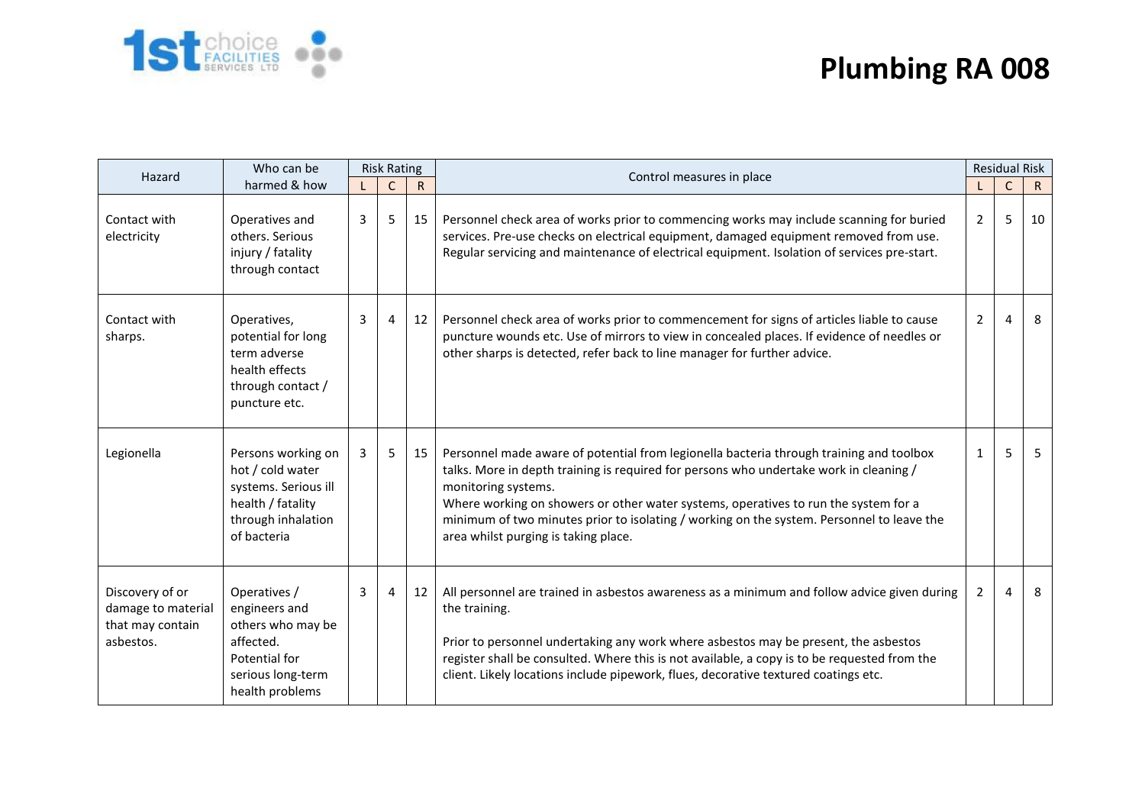

| Hazard                                                                 | Who can be                                                                                                               | <b>Risk Rating</b> |              |              | Control measures in place                                                                                                                                                                                                                                                                                                                                                                                                            | <b>Residual Risk</b> |              |              |
|------------------------------------------------------------------------|--------------------------------------------------------------------------------------------------------------------------|--------------------|--------------|--------------|--------------------------------------------------------------------------------------------------------------------------------------------------------------------------------------------------------------------------------------------------------------------------------------------------------------------------------------------------------------------------------------------------------------------------------------|----------------------|--------------|--------------|
|                                                                        | harmed & how                                                                                                             |                    | $\mathsf{C}$ | $\mathsf{R}$ |                                                                                                                                                                                                                                                                                                                                                                                                                                      |                      | $\mathsf{C}$ | $\mathsf{R}$ |
| Contact with<br>electricity                                            | Operatives and<br>others. Serious<br>injury / fatality<br>through contact                                                | 3                  | 5            | 15           | Personnel check area of works prior to commencing works may include scanning for buried<br>services. Pre-use checks on electrical equipment, damaged equipment removed from use.<br>Regular servicing and maintenance of electrical equipment. Isolation of services pre-start.                                                                                                                                                      | $\overline{2}$       | 5            | 10           |
| Contact with<br>sharps.                                                | Operatives,<br>potential for long<br>term adverse<br>health effects<br>through contact /<br>puncture etc.                | 3                  | 4            | 12           | Personnel check area of works prior to commencement for signs of articles liable to cause<br>puncture wounds etc. Use of mirrors to view in concealed places. If evidence of needles or<br>other sharps is detected, refer back to line manager for further advice.                                                                                                                                                                  | $\mathbf{2}$         | 4            | 8            |
| Legionella                                                             | Persons working on<br>hot / cold water<br>systems. Serious ill<br>health / fatality<br>through inhalation<br>of bacteria | 3                  | 5            | 15           | Personnel made aware of potential from legionella bacteria through training and toolbox<br>talks. More in depth training is required for persons who undertake work in cleaning /<br>monitoring systems.<br>Where working on showers or other water systems, operatives to run the system for a<br>minimum of two minutes prior to isolating / working on the system. Personnel to leave the<br>area whilst purging is taking place. | $\mathbf{1}$         | 5            | 5            |
| Discovery of or<br>damage to material<br>that may contain<br>asbestos. | Operatives /<br>engineers and<br>others who may be<br>affected.<br>Potential for<br>serious long-term<br>health problems | 3                  | 4            | 12           | All personnel are trained in asbestos awareness as a minimum and follow advice given during<br>the training.<br>Prior to personnel undertaking any work where asbestos may be present, the asbestos<br>register shall be consulted. Where this is not available, a copy is to be requested from the<br>client. Likely locations include pipework, flues, decorative textured coatings etc.                                           | $\overline{2}$       | 4            | 8            |